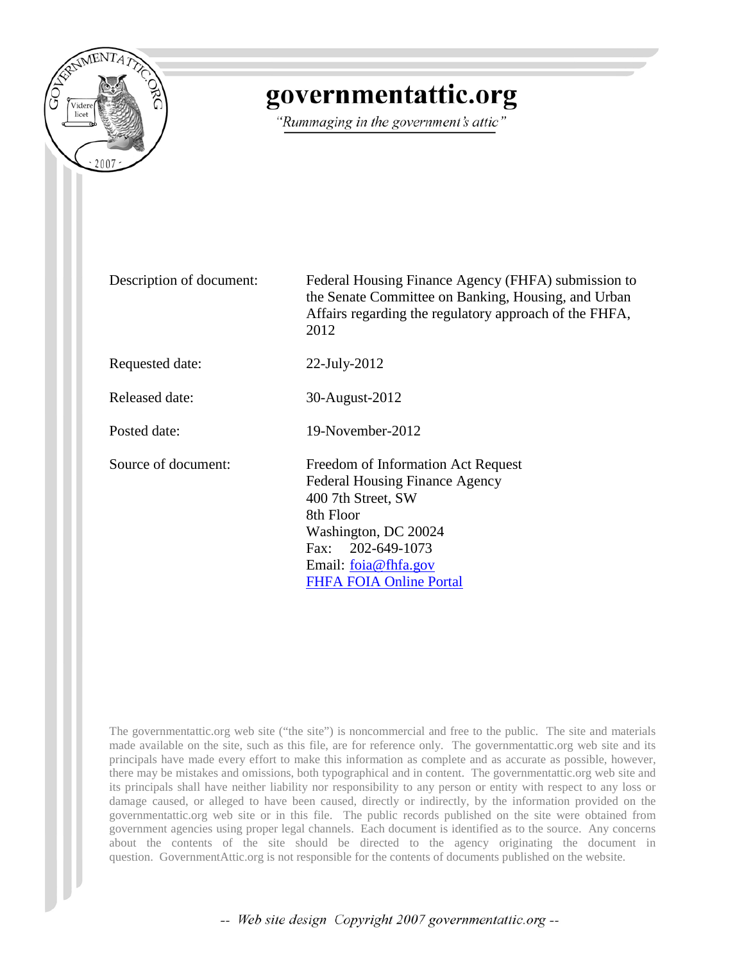

## governmentattic.org

"Rummaging in the government's attic"

Description of document: Federal Housing Finance Agency (FHFA) submission to the Senate Committee on Banking, Housing, and Urban Affairs regarding the regulatory approach of the FHFA, 2012

Requested date: 22-July-2012

Released date: 30-August-2012

Posted date: 19-November-2012

Source of document: Freedom of Information Act Request Federal Housing Finance Agency 400 7th Street, SW 8th Floor Washington, DC 20024 Fax: 202-649-1073 Email: [foia@fhfa.gov](mailto:foia@fhfa.gov?subject=FOIA%20Request) [FHFA FOIA Online Portal](https://publicaccesslink.fhfa.gov/palMain.aspx)

The governmentattic.org web site ("the site") is noncommercial and free to the public. The site and materials made available on the site, such as this file, are for reference only. The governmentattic.org web site and its principals have made every effort to make this information as complete and as accurate as possible, however, there may be mistakes and omissions, both typographical and in content. The governmentattic.org web site and its principals shall have neither liability nor responsibility to any person or entity with respect to any loss or damage caused, or alleged to have been caused, directly or indirectly, by the information provided on the governmentattic.org web site or in this file. The public records published on the site were obtained from government agencies using proper legal channels. Each document is identified as to the source. Any concerns about the contents of the site should be directed to the agency originating the document in question. GovernmentAttic.org is not responsible for the contents of documents published on the website.

-- Web site design Copyright 2007 governmentattic.org --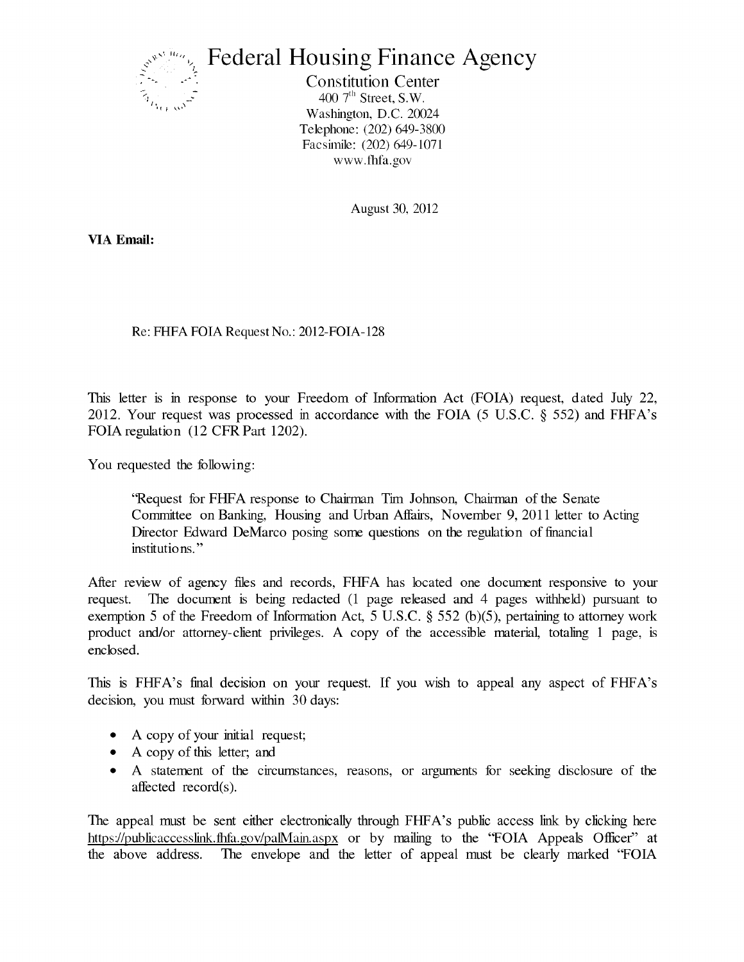

## **Federal Housing Finance Agency**

Constitution Center 400  $7<sup>th</sup>$  Street, S.W. Washington, D.C. 20024 Telephone: (202) 649-3800 Facsiinile: (202) 649-1071 www.tbfa.gov

August 30, 2012

**VIA Email:** 

Re: FHFA FOIA Request No.: 2012-FOIA-128

This letter is in response to your Freedom of Information Act (FOIA) request, dated July 22, 2012. Your request was processed in accordance with the FOIA (5 U.S.C.  $\S$  552) and FHFA's FOIA regulation (12 CFR Part 1202).

You requested the following:

''Request for FHFA response to Chairman Tim Johnson, Chairman of the Senate Committee on Banking, Housing and Urban Affairs, November 9, 2011 letter to Acting Director Edward DeMarco posing some questions on the regulation of financial institutions."

After review of agency files and records, FHFA has located one document responsive to your request. The document is being redacted (1 page released and 4 pages withheld) pursuant to exemption 5 of the Freedom of Information Act, 5 U.S.C.  $\S$  552 (b)(5), pertaining to attorney work product and/or attorney-client privileges. A copy of the accessible material, totaling 1 page, is enclosed.

This is FHFA's final decision on your request. If you wish to appeal any aspect of FHFA's decision, you must forward within 30 days:

- A copy of your initial request;
- A copy of this letter; and
- A statement of the circumstances, reasons, or arguments for seeking disclosure of the affected record(s).

The appeal must be sent either electronically through FHFA's public access link by clicking here https://publicaccesslink.fhta.gov/palMain.aspx or by mailing to the 'FOIA Appeals Officer' at the above address. The envelope and the letter of appeal must be clearly marked ''FOIA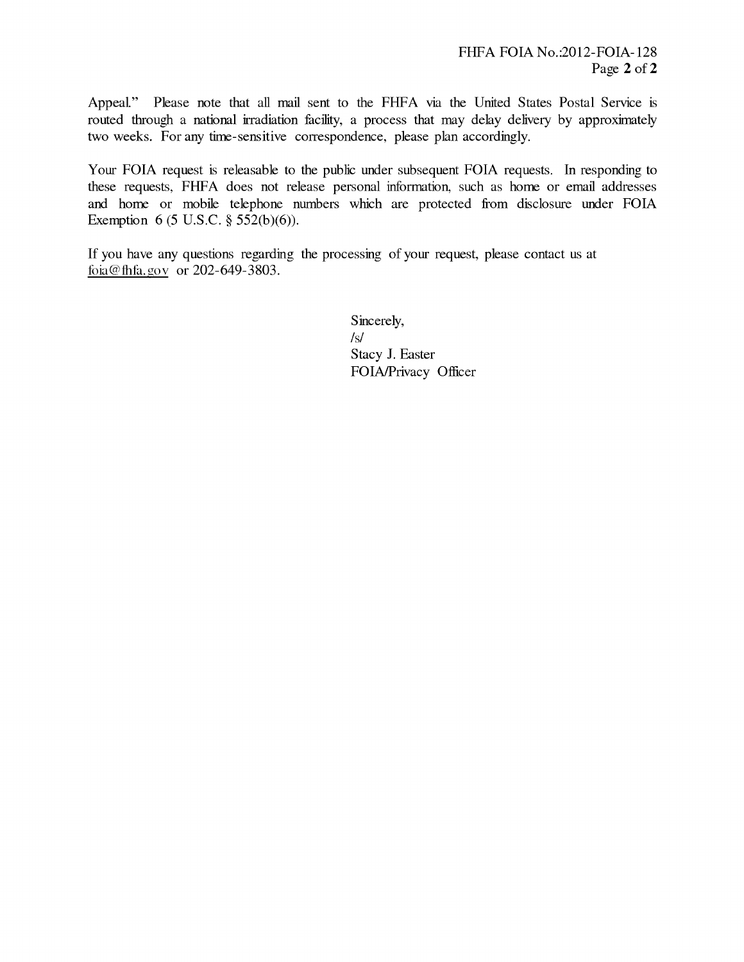Appeal" Please note that all mail sent to the FHFA via the United States Postal Service is routed through a national irradiation facility, a process that may delay delivery by approximately two weeks. For any time-sensitive correspondence, please plan accordingly.

Your FOIA request is releasable to the public under subsequent FOIA requests. In responding to these requests, FHFA does not release personal information, such as home or email addresses and home or mobile telephone numbers which are protected from disclosure under FOIA Exemption 6 (5 U.S.C. § 552(b)(6)).

If you have any questions regarding the processing of your request, please contact us at toia@fhta.gov or 202-649-3803.

> Sincerely, /s/ Stacy J. Easter FOIA/Privacy Officer